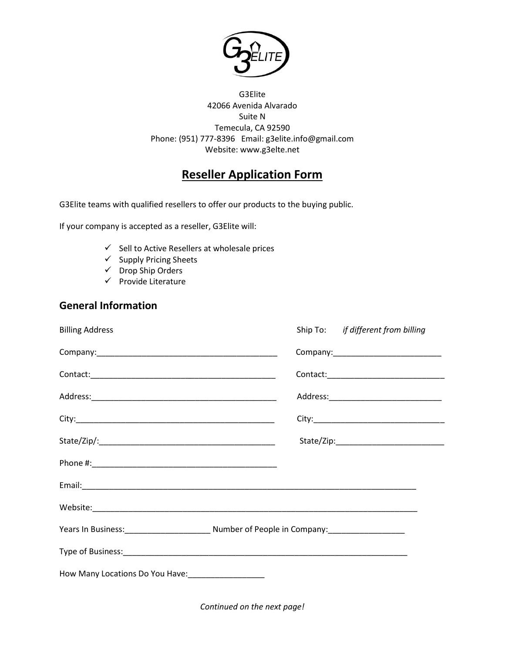

G3Elite 42066 Avenida Alvarado Suite N Temecula, CA 92590 Phone: (951) 777-8396 Email: g3elite.info@gmail.com Website: www.g3elte.net

## **Reseller Application Form**

G3Elite teams with qualified resellers to offer our products to the buying public.

If your company is accepted as a reseller, G3Elite will:

- $\checkmark$  Sell to Active Resellers at wholesale prices
- $\checkmark$  Supply Pricing Sheets
- $\checkmark$  Drop Ship Orders
- $\checkmark$  Provide Literature

## **General Information**

| <b>Billing Address</b>                                                                 |  | Ship To: if different from billing |
|----------------------------------------------------------------------------------------|--|------------------------------------|
|                                                                                        |  |                                    |
|                                                                                        |  |                                    |
|                                                                                        |  |                                    |
|                                                                                        |  |                                    |
|                                                                                        |  |                                    |
|                                                                                        |  |                                    |
|                                                                                        |  |                                    |
|                                                                                        |  |                                    |
| Years In Business: 1990 Mumber of People in Company: 1990 Mumber of People in Company: |  |                                    |
|                                                                                        |  |                                    |
| How Many Locations Do You Have: _________________                                      |  |                                    |

*Continued on the next page!*